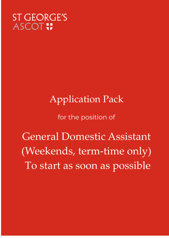# **ST GEORGE'S ASCOT!**

# **Application Pack**

## for the position of

**General Domestic Assistant** (Weekends, term-time only) To start as soon as possible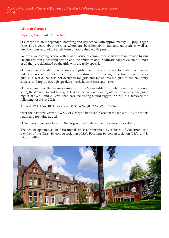#### **About St George's**

#### **Capable, Confident, Connected**

St George's is an independent boarding and day school with approximately 270 pupils aged from 11-18 years about 45% of whom are boarders (both full and tailored) as well as flexi-boarders and with a Sixth Form of approximately 80 pupils.

We are a welcoming school with a warm sense of community. Visitors are impressed by our facilities within a beautiful setting and the ambition of our educational provision, but most of all they are delighted by the girls who are truly special.

Our unique extended day allows all girls the time and space to foster confidence, independence and academic curiosity providing a future-facing education exclusively for girls in a world that was not designed for girls and introduces the girls to contemporary subjects and topics, through speakers, workshops, classes and visits.

Our academic results are impressive, with the 'value-added' in public examinations a real strength. We understand how girls learn effectively and we regularly add at least one grade higher at GCSE and A Level than baseline testing would suggest. Our pupils achieved the following results in 2021:

A Level: 77% A\*-A, 100% pass rate, GCSE: 60% 9/8 , 78% 9-7, 100% 9-4

Over the past two years at GCSE, St George's has been placed in the top 5 to 10% of schools nationally for value added.

St George's offers an education that is grounded, relevant and fosters employability.

The school operates as an Educational Trust administered by a Board of Governors, is a member of the Girls' Schools Association (GSA), Boarding Schools Association (BSA), and is ISC accredited.

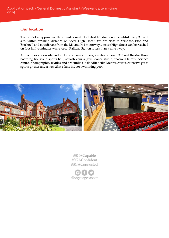#### **Our location**

The School is approximately 25 miles west of central London, on a beautiful, leafy 30 acre site, within walking distance of Ascot High Street. We are close to Windsor, Eton and Bracknell and equidistant from the M3 and M4 motorways. Ascot High Street can be reached on foot in five minutes while Ascot Railway Station is less than a mile away.

All facilities are on site and include, amongst others, a state-of-the-art 350 seat theatre, three boarding houses, a sports hall, squash courts, gym, dance studio, spacious library, Science centre, photographic, textiles and art studios, 6 floodlit netball/tennis courts, extensive grass sports pitches and a new 25m 6 lane indoor swimming pool.



#SGACapable #SGAConfident #SGAConnected

@stgeorgesascot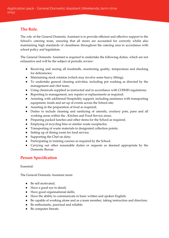### **The Role.**

The role of the General Domestic Assistant is to provide efficient and effective support to the School's catering team, ensuring that all stores are accounted for correctly whilst also maintaining high standards of cleanliness throughout the catering area in accordance with school policy and legislation.

The General Domestic Assistant is required to undertake the following duties, which are not exhaustive and will be the subject of periodic review:

- Receiving and storing all foodstuffs, monitoring quality, temperature and checking for deficiencies;
- Maintaining stock rotation (which may involve some heavy lifting);
- To undertake general cleaning activities, including pot washing as directed by the management and chef team;
- Using chemicals supplied as instructed and in accordance with COSHH regulations;
- Reporting to management, any repairs or replacements as required;
- Assisting with additional Hospitality support, including assistance with transporting equipment, foods and set up of events across the School site;
- Assisting in the preparation of food as required;
- Duties to include cleaning and sanitizing of utensils, crockery pots, pans and all working areas within the , Kitchen and Food Service areas;
- Preparing packed lunches and other items for the School as required;
- Emptying of recycling bins or similar waste receptacles;
- Transporting of waste materials to designated collection points;
- Setting up of dining room for food service;
- Supporting the Chef on duty;
- Participating in training courses as required by the School.
- Carrying out other reasonable duties or requests as deemed appropriate by the Domestic Bursar.

#### **Person Specification**

Essential:

The General Domestic Assistant must:

- Be self motivated:
- Have a good eye to detail;
- Have good organisational skills;
- Have the ability to communicate in basic written and spoken English;
- Be capable of working alone and as a team member, taking instruction and direction;
- Be enthusiastic, punctual and reliable;
- Be computer literate.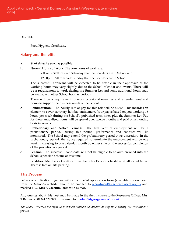Desirable:

Food Hygiene Certificate.

### **Salary and Benefits**

- a. **Start date:** As soon as possible.
- b. **Normal Hours of Work:** The core hours of work are:
	- 7.00am 3.00pm each Saturday that the Boarders are in School and
	- 12.00pm 8.00pm each Sunday that the Boarders are in School.

The successful applicant will be expected to be flexible in their approach as the working hours may vary slightly due to the School calendar and events. **There will be a requirement to work during the Summer Let** and some additional hours may be available in other School holiday periods.

There will be a requirement to work occasional evenings and extended weekend hours to support the business needs of the School.

- c. **Remuneration:** The hourly rate of pay for this role will be £10.65. This includes an element to cover statutory holiday entitlement. Your pay is based on you working 16 hours per week during the School's published term times plus the Summer Let. Pay for these annualised hours will be spread over twelve months and paid on a monthly basis in arrears.
- d. **Probationary and Notice Periods:** The first year of employment will be a probationary period. During this period, performance and conduct will be monitored. The School may extend the probationary period at its discretion. In the probationary period, the notice required to terminate the employment will be one week, increasing to one calendar month by either side on the successful completion of the probationary period.
- e. **Pension:** The successful candidate will not be eligible to be auto-enrolled into the School's pension scheme at this time.
- f. **Facilities:** Members of staff can use the School's sports facilities at allocated times. There is free on-site parking.

#### **The Process**

Letters of application together with a completed application form (available to download from the School's website) should be emailed to [recruitment@stgeorges-ascot.org.uk](mailto:recruitment@stgeorges-ascot.org.uk) and marked FAO **Mrs A Craciun, Domestic Bursar.**

Any queries about this post may be made in the first instance to the Resources Officer, Mrs T Barber on 01344 629 979 or by email to [tbarber@stgeorges-ascot.org.uk.](mailto:tbarber@stgeorges-ascot.org.uk)

*The School reserves the right to interview suitable candidates at any time during the recruitment process.*